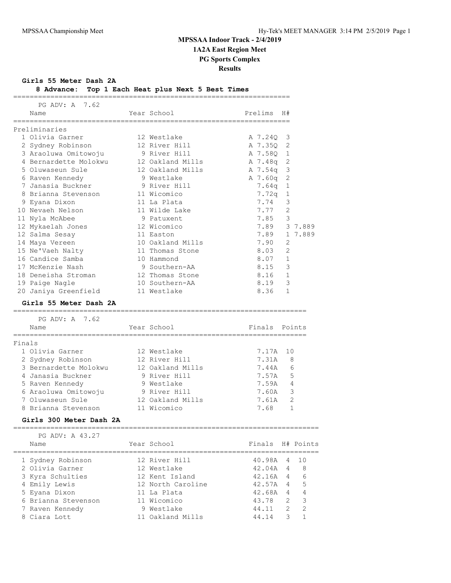**Girls 55 Meter Dash 2A**

| 8 Advance: Top 1 Each Heat plus Next 5 Best Times |  |  |  |  |
|---------------------------------------------------|--|--|--|--|
|                                                   |  |  |  |  |

|        | PG ADV: A 7.62                     |                   |               |                |                |
|--------|------------------------------------|-------------------|---------------|----------------|----------------|
|        | Name                               | Year School       | Prelims       | H#             |                |
|        | Preliminaries                      |                   |               |                |                |
|        | 1 Olivia Garner                    | 12 Westlake       | A 7.24Q       | 3              |                |
|        | 2 Sydney Robinson                  | 12 River Hill     | A 7.350       | 2              |                |
|        | 3 Araoluwa Omitowoju               | 9 River Hill      | A 7.58Q       | $\mathbf{1}$   |                |
|        | 4 Bernardette Molokwu              | 12 Oakland Mills  | A 7.48q       | 2              |                |
|        | 5 Oluwaseun Sule                   | 12 Oakland Mills  | A 7.54q       | 3              |                |
|        | 6 Raven Kennedy                    | 9 Westlake        | A 7.60q       | $\overline{c}$ |                |
|        | 7 Janasia Buckner                  | 9 River Hill      | 7.64q         | $\mathbf{1}$   |                |
|        | 8 Brianna Stevenson                | 11 Wicomico       | 7.72q         | 1              |                |
|        | 9 Eyana Dixon                      | 11 La Plata       | 7.74          | 3              |                |
|        | 10 Nevaeh Nelson                   | 11 Wilde Lake     | 7.77          | 2              |                |
|        | 11 Nyla McAbee                     | 9 Patuxent        | 7.85          | 3              |                |
|        | 12 Mykaelah Jones                  | 12 Wicomico       | 7.89          |                | 3 7.889        |
|        | 12 Salma Sesay                     | 11 Easton         | 7.89          |                | 1 7.889        |
|        | 14 Maya Vereen                     | 10 Oakland Mills  | 7.90          | $\overline{2}$ |                |
|        | 15 Ne'Vaeh Nalty                   | 11 Thomas Stone   | 8.03          | 2              |                |
|        | 16 Candice Samba                   | 10 Hammond        | 8.07          | $\mathbf{1}$   |                |
|        | 17 McKenzie Nash                   | 9 Southern-AA     | 8.15          | 3              |                |
|        | 18 Deneisha Stroman                | 12 Thomas Stone   | 8.16          | $\mathbf{1}$   |                |
|        | 19 Paige Nagle                     | 10 Southern-AA    | 8.19          | 3              |                |
|        | 20 Janiya Greenfield               | 11 Westlake       | 8.36          | $\mathbf{1}$   |                |
|        |                                    |                   |               |                |                |
|        | Girls 55 Meter Dash 2A             |                   |               |                |                |
|        | PG ADV: A 7.62                     |                   |               |                |                |
|        | Name                               | Year School       | Finals Points |                |                |
|        | =============<br>================= |                   |               |                |                |
| Finals |                                    |                   |               |                |                |
|        | 1 Olivia Garner                    | 12 Westlake       | 7.17A         | 10             |                |
|        | 2 Sydney Robinson                  | 12 River Hill     | 7.31A         | 8              |                |
|        | 3 Bernardette Molokwu              | 12 Oakland Mills  | 7.44A         | 6              |                |
|        | 4 Janasia Buckner                  | 9 River Hill      | 7.57A         | 5              |                |
|        | 5 Raven Kennedy                    | 9 Westlake        | 7.59A         | 4              |                |
|        | 6 Araoluwa Omitowoju               | 9 River Hill      | 7.60A         |                | 3              |
|        | 7 Oluwaseun Sule                   | 12 Oakland Mills  | 7.61A         | 2              |                |
|        | 8 Brianna Stevenson                | 11 Wicomico       | 7.68          |                | 1              |
|        | Girls 300 Meter Dash 2A            |                   |               |                |                |
|        |                                    |                   |               |                |                |
|        | PG ADV: A 43.27<br>Name            | Year School       | Finals        |                | H# Points      |
|        |                                    |                   |               |                |                |
|        | 1 Sydney Robinson                  | 12 River Hill     | 40.98A 4      |                | 10             |
|        | 2 Olivia Garner                    | 12 Westlake       | 42.04A 4      |                | - 8            |
|        | 3 Kyra Schulties                   | 12 Kent Island    | $42.16A$ 4 6  |                |                |
|        | 4 Emily Lewis                      | 12 North Caroline | 42.57A 4 5    |                |                |
|        | 5 Eyana Dixon                      | 11 La Plata       | 42.68A        |                | $4\quad 4$     |
|        | 6 Brianna Stevenson                | 11 Wicomico       | 43.78 2       |                | $\mathcal{S}$  |
|        | 7 Raven Kennedy                    | 9 Westlake        | 44.11         | 2              | $\overline{2}$ |
|        | 8 Ciara Lott                       | 11 Oakland Mills  | 44.14         | 3              | $\mathbf{1}$   |
|        |                                    |                   |               |                |                |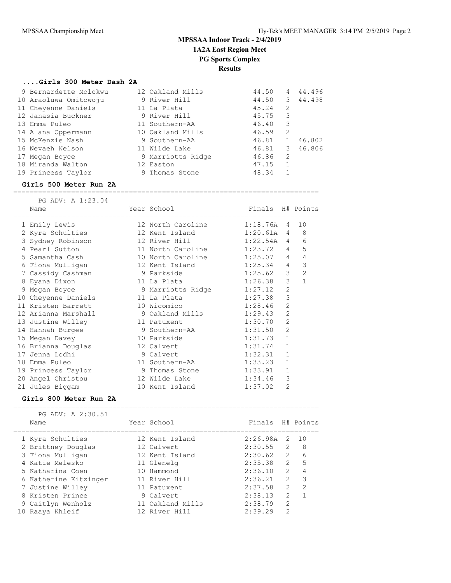**Results**

### **....Girls 300 Meter Dash 2A**

| 9 Bernardette Molokwu | 12 Oakland Mills  | 44.50 | 4            | 44.496 |
|-----------------------|-------------------|-------|--------------|--------|
| 10 Araoluwa Omitowoju | 9 River Hill      | 44.50 | 3            | 44.498 |
| 11 Cheyenne Daniels   | 11 La Plata       | 45.24 | 2            |        |
| 12 Janasia Buckner    | 9 River Hill      | 45.75 | 3            |        |
| 13 Emma Puleo         | 11 Southern-AA    | 46.40 | 3            |        |
| 14 Alana Oppermann    | 10 Oakland Mills  | 46.59 | 2            |        |
| 15 McKenzie Nash      | 9 Southern-AA     | 46.81 | 1            | 46.802 |
| 16 Nevaeh Nelson      | 11 Wilde Lake     | 46.81 | 3            | 46.806 |
| 17 Megan Boyce        | 9 Marriotts Ridge | 46.86 | 2            |        |
| 18 Miranda Walton     | 12 Easton         | 47.15 | $\mathbf{1}$ |        |
| 19 Princess Taylor    | 9 Thomas Stone    | 48.34 |              |        |
|                       |                   |       |              |        |

#### **Girls 500 Meter Run 2A** ==========================================================================

| PG ADV: A 1:23.04<br>Name | Year School                                                         | Finals H# Points |                |                     |
|---------------------------|---------------------------------------------------------------------|------------------|----------------|---------------------|
| 1 Emily Lewis             | =====================================<br>12 North Caroline 1:18.76A |                  | 4              | 10                  |
| 2 Kyra Schulties          | 12 Kent Island                                                      | 1:20.61A         | $\overline{4}$ | 8                   |
| 3 Sydney Robinson         | 12 River Hill                                                       | 1:22.54A         |                | 6<br>$\overline{4}$ |
| 4 Pearl Sutton            | 11 North Caroline                                                   | 1:23.72          | 4              | 5                   |
| 5 Samantha Cash           | 10 North Caroline 1:25.07                                           |                  | $\overline{4}$ | 4                   |
| 6 Fiona Mulligan          | 12 Kent Island                                                      | 1:25.34          | $\overline{4}$ | 3                   |
| 7 Cassidy Cashman         | 9 Parkside                                                          | 1:25.62          | 3              | 2                   |
| 8 Eyana Dixon             | 11 La Plata                                                         | 1:26.38          | 3              | $\overline{1}$      |
| 9 Megan Boyce             | 9 Marriotts Ridge                                                   | 1:27.12          | $\overline{2}$ |                     |
| 10 Cheyenne Daniels       | 1:27.38<br>11 La Plata                                              |                  | 3              |                     |
| 11 Kristen Barrett        | 10 Wicomico                                                         | 1:28.46          | $\overline{2}$ |                     |
| 12 Arianna Marshall       | 9 Oakland Mills 1:29.43                                             |                  | $\overline{2}$ |                     |
| 13 Justine Willey         | 11 Patuxent                                                         | 1:30.70          | $\overline{2}$ |                     |
| 14 Hannah Burgee          | 9 Southern-AA                                                       | 1:31.50          | $\overline{2}$ |                     |
| 15 Megan Davey            | 10 Parkside                                                         | 1:31.73          | $\mathbf{1}$   |                     |
| 16 Brianna Douglas        | 12 Calvert                                                          | 1:31.74          | $\mathbf{1}$   |                     |
| 17 Jenna Lodhi            | 9 Calvert                                                           | 1:32.31          | $\mathbf{1}$   |                     |
| 18 Emma Puleo             | 11 Southern-AA                                                      | 1:33.23          | $\mathbf 1$    |                     |
| 19 Princess Taylor        | 9 Thomas Stone                                                      | 1:33.91          | $\mathbf{1}$   |                     |
| 20 Angel Christou         | 12 Wilde Lake                                                       | 1:34.46          | 3              |                     |
| 21 Jules Biggam           | 10 Kent Island                                                      | 1:37.02          | $\overline{2}$ |                     |

#### **Girls 800 Meter Run 2A**

==========================================================================

|  | PG ADV: A 2:30.51     |                  |                  |                |               |
|--|-----------------------|------------------|------------------|----------------|---------------|
|  | Name                  | Year School      | Finals H# Points |                |               |
|  |                       |                  |                  |                |               |
|  | 1 Kyra Schulties      | 12 Kent Island   | $2:26.98A$ 2 10  |                |               |
|  | 2 Brittney Douglas    | 12 Calvert       | $2:30.55$ 2      |                | - 8           |
|  | 3 Fiona Mulligan      | 12 Kent Island   | $2:30.62$ 2      |                | 6             |
|  | 4 Katie Melesko       | 11 Glenelg       | 2:35.38          | 2              | 5             |
|  | 5 Katharina Coen      | 10 Hammond       | 2:36.10          | $\mathcal{L}$  | 4             |
|  | 6 Katherine Kitzinger | 11 River Hill    | 2:36.21          | $\mathcal{L}$  | 3             |
|  | 7 Justine Willey      | 11 Patuxent      | 2:37.58          | $\mathfrak{D}$ | $\mathcal{P}$ |
|  | 8 Kristen Prince      | 9 Calvert        | 2:38.13          | $\mathcal{L}$  |               |
|  | 9 Caitlyn Wenholz     | 11 Oakland Mills | 2:38.79          | $\mathfrak{D}$ |               |
|  | 10 Raaya Khleif       | 12 River Hill    | 2:39.29          | $\mathcal{P}$  |               |
|  |                       |                  |                  |                |               |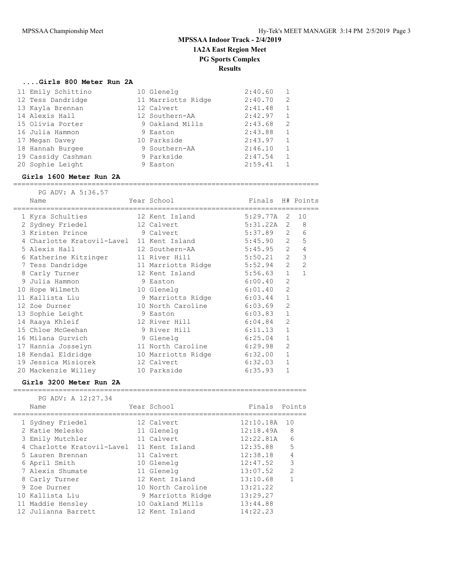### **....Girls 800 Meter Run 2A**

| 11 Emily Schittino | 10 Glenelg         | 2:40.60 |              |
|--------------------|--------------------|---------|--------------|
| 12 Tess Dandridge  | 11 Marriotts Ridge | 2:40.70 | 2            |
| 13 Kayla Brennan   | 12 Calvert         | 2:41.48 | 1            |
| 14 Alexis Hall     | 12 Southern-AA     | 2:42.97 | 1            |
| 15 Olivia Porter   | 9 Oakland Mills    | 2:43.68 | 2            |
| 16 Julia Hammon    | 9 Easton           | 2:43.88 | 1            |
| 17 Megan Davey     | 10 Parkside        | 2:43.97 | $\mathbf{1}$ |
| 18 Hannah Burgee   | 9 Southern-AA      | 2:46.10 |              |
| 19 Cassidy Cashman | 9 Parkside         | 2:47.54 | 1            |
| 20 Sophie Leight   | 9 Easton           | 2:59.41 |              |
|                    |                    |         |              |

#### **Girls 1600 Meter Run 2A**

==========================================================================

|  | PG ADV: A 5:36.57                         |                                |                  |                |                  |
|--|-------------------------------------------|--------------------------------|------------------|----------------|------------------|
|  | Name                                      | Year School                    | Finals H# Points |                |                  |
|  | ==========================                | ==================             |                  |                |                  |
|  | 1 Kyra Schulties                          | 12 Kent Island                 | 5:29.77A 2       |                | 10               |
|  | 2 Sydney Friedel                          | 12 Calvert                     | $5:31.22A$ 2 8   |                |                  |
|  | 3 Kristen Prince 9 Calvert                |                                | 5:37.89 2        |                | 6                |
|  | 4 Charlotte Kratovil-Lavel 11 Kent Island |                                | 5:45.90          |                | $2^{\circ}$<br>5 |
|  | 5 Alexis Hall                             | 12 Southern-AA                 | 5:45.95          | $\overline{2}$ | $\overline{4}$   |
|  | 6 Katherine Kitzinger                     | 11 River Hill                  | 5:50.21          | $\overline{2}$ | $\mathcal{S}$    |
|  | 7 Tess Dandridge                          | 11 Marriotts Ridge 5:52.94 2 2 |                  |                |                  |
|  | 8 Carly Turner                            | 12 Kent Island                 | 5:56.63          | $\mathbf{1}$   | $\mathbf{1}$     |
|  | 9 Julia Hammon                            | 9 Easton                       | 6:00.40          | $\overline{2}$ |                  |
|  | 10 Hope Wilmeth                           | 10 Glenelg                     | 6:01.40          | $\overline{2}$ |                  |
|  | 11 Kallista Liu                           | 9 Marriotts Ridge              | 6:03.44          | $\mathbf{1}$   |                  |
|  | 12 Zoe Durner                             | 10 North Caroline              | 6:03.69          | $\overline{2}$ |                  |
|  | 13 Sophie Leight                          | 9 Easton                       | 6:03.83          | $\mathbf{1}$   |                  |
|  | 14 Raaya Khleif                           | 12 River Hill                  | 6:04.84          | $\overline{2}$ |                  |
|  | 15 Chloe McGeehan                         | 9 River Hill                   | 6:11.13          | $\mathbf{1}$   |                  |
|  | 16 Milana Gurvich                         | 9 Glenelg                      | 6:25.04          | $\mathbf{1}$   |                  |
|  | 17 Hannia Josselyn                        | 11 North Caroline              | 6:29.98          | $\overline{2}$ |                  |
|  | 18 Kendal Eldridge                        | 10 Marriotts Ridge             | 6:32.00          | $\mathbf{1}$   |                  |
|  | 19 Jessica Misiorek                       | 12 Calvert                     | 6:32.03          | $\mathbf{1}$   |                  |
|  | 20 Mackenzie Willey                       | 10 Parkside                    | 6:35.93          | $\mathbf{1}$   |                  |
|  |                                           |                                |                  |                |                  |

### **Girls 3200 Meter Run 2A**

======================================================================= PG ADV: A 12:27.34

| Name                       | Year School       | Finals    | Points         |
|----------------------------|-------------------|-----------|----------------|
| 1 Sydney Friedel           | 12 Calvert        | 12:10.18A | 10             |
| 2 Katie Melesko            | 11 Glenelg        | 12:18.49A | - 8            |
| 3 Emily Mutchler           | 11 Calvert        | 12:22.81A | 6              |
| 4 Charlotte Kratovil-Lavel | 11 Kent Island    | 12:35.88  | 5              |
| 5 Lauren Brennan           | 11 Calvert        | 12:38.18  | 4              |
| 6 April Smith              | 10 Glenelg        | 12:47.52  | 3              |
| 7 Alexis Shumate           | 11 Glenelg        | 13:07.52  | $\overline{2}$ |
| 8 Carly Turner             | 12 Kent Island    | 13:10.68  |                |
| 9 Zoe Durner               | 10 North Caroline | 13:21.22  |                |
| 10 Kallista Liu            | 9 Marriotts Ridge | 13:29.27  |                |
| 11 Maddie Hensley          | 10 Oakland Mills  | 13:44.88  |                |
| 12 Julianna Barrett        | 12 Kent Island    | 14:22.23  |                |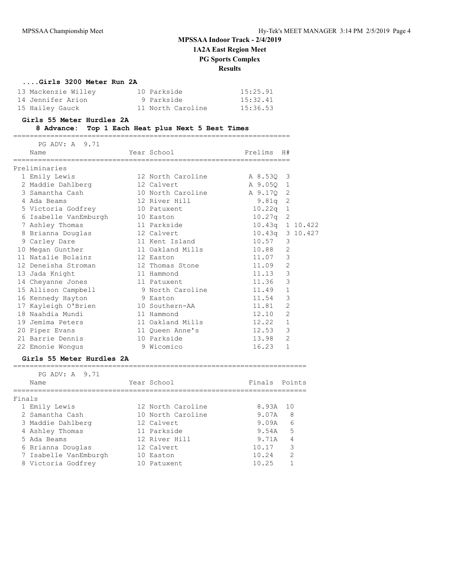**1A2A East Region Meet**

### **PG Sports Complex**

**Results**

### **....Girls 3200 Meter Run 2A**

| 13 Mackenzie Willey | 10 Parkside       | 15:25.91 |
|---------------------|-------------------|----------|
| 14 Jennifer Arion   | 9 Parkside        | 15:32.41 |
| 15 Hailey Gauck     | 11 North Caroline | 15:36.53 |

#### **Girls 55 Meter Hurdles 2A**

### **8 Advance: Top 1 Each Heat plus Next 5 Best Times**

===================================================================

| PG ADV: A 9.71<br>Name               | Year School                 | Prelims H#      |                |  |
|--------------------------------------|-----------------------------|-----------------|----------------|--|
| Preliminaries                        |                             |                 |                |  |
| 1 Emily Lewis                        | 12 North Caroline A 8.53Q 3 |                 |                |  |
| 2 Maddie Dahlberg                    | 12 Calvert                  | A 9.05Q 1       |                |  |
| 3 Samantha Cash India                | 10 North Caroline A 9.170 2 |                 |                |  |
| 4 Ada Beams                          | 12 River Hill               | $9.81q$ 2       |                |  |
| 5 Victoria Godfrey 10 Patuxent       |                             | $10.22q$ 1      |                |  |
| 6 Isabelle VanEmburgh                | 10 Easton                   | $10.27q$ 2      |                |  |
| 7 Ashley Thomas                      | 11 Parkside                 | 10.43q 1 10.422 |                |  |
| 8 Brianna Douglas 12 Calvert         |                             | 10.43q 3 10.427 |                |  |
| 9 Carley Dare                        | 11 Kent Island              | 10.57           | 3              |  |
| 10 Megan Gunther                     | 11 Oakland Mills            | 10.88           | 2              |  |
| 11 Natalie Bolainz                   | 12 Easton                   | 11.07           | 3              |  |
| 12 Deneisha Stroman 12 Thomas Stone  |                             | 11.09           | $\overline{2}$ |  |
| 13 Jada Knight                       | 11 Hammond                  | 11.13           | 3              |  |
| 14 Cheyanne Jones                    | 11 Patuxent                 | 11.36           | 3              |  |
| 15 Allison Campbell 9 North Caroline |                             | 11.49           | $\mathbf{1}$   |  |
| 16 Kennedy Hayton                    | 9 Easton                    | 11.54           | 3              |  |
| 17 Kayleigh O'Brien 10 Southern-AA   |                             | 11.81           | $\overline{2}$ |  |
| 18 Naahdia Mundi                     | 11 Hammond                  | 12.10           | $\mathfrak{L}$ |  |
| 19 Jemima Peters                     | 11 Oakland Mills            | 12.22           | $\mathbf{1}$   |  |
| 20 Piper Evans                       | 11 Oueen Anne's             | 12.53           | 3              |  |
| 21 Barrie Dennis                     | 10 Parkside                 | 13.98           | $\overline{2}$ |  |
| 22 Emonie Wongus                     | 9 Wicomico                  | 16.23           | $\mathbf{1}$   |  |
|                                      |                             |                 |                |  |

#### **Girls 55 Meter Hurdles 2A**

|        | PG ADV: A 9.71<br>Name |     | Year School       | Finals Points |               |
|--------|------------------------|-----|-------------------|---------------|---------------|
| Finals |                        |     |                   |               |               |
|        | 1 Emily Lewis          |     | 12 North Caroline | 8.93A 10      |               |
|        | 2 Samantha Cash        |     | 10 North Caroline | 9.07A         | 8             |
|        | 3 Maddie Dahlberg      |     | 12 Calvert        | 9.09A         | 6             |
|        | 4 Ashley Thomas        |     | 11 Parkside       | 9.54A         | 5             |
|        | 5 Ada Beams            |     | 12 River Hill     | 9.71A         | 4             |
|        | 6 Brianna Douglas      |     | 12 Calvert        | 10.17         | 3             |
|        | 7 Isabelle VanEmburgh  |     | 10 Easton         | 10.24         | $\mathcal{D}$ |
|        | 8 Victoria Godfrey     | 1() | Patuxent          | 10.25         |               |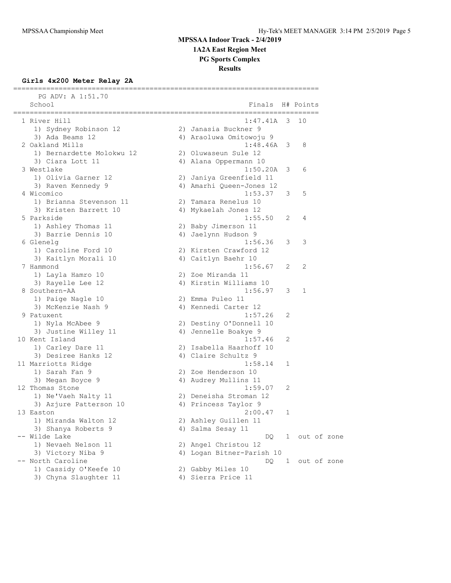**1A2A East Region Meet**

**PG Sports Complex**

**Results**

#### **Girls 4x200 Meter Relay 2A** ==========================================================================

| PG ADV: A 1:51.70<br>School | Finals                    |     | H# Points     |  |
|-----------------------------|---------------------------|-----|---------------|--|
| 1 River Hill                | 1:47.41A                  | - 3 | 10            |  |
| 1) Sydney Robinson 12       | 2) Janasia Buckner 9      |     |               |  |
| 3) Ada Beams 12             | 4) Araoluwa Omitowoju 9   |     |               |  |
| 2 Oakland Mills             | 1:48.46A                  | 3   | 8             |  |
| 1) Bernardette Molokwu 12   | 2) Oluwaseun Sule 12      |     |               |  |
| 3) Ciara Lott 11            | 4) Alana Oppermann 10     |     |               |  |
| 3 Westlake                  | 1:50.20A                  | 3   | 6             |  |
| 1) Olivia Garner 12         | 2) Janiya Greenfield 11   |     |               |  |
| 3) Raven Kennedy 9          | 4) Amarhi Queen-Jones 12  |     |               |  |
| 4 Wicomico                  | 1:53.37                   | 3   | 5             |  |
| 1) Brianna Stevenson 11     | 2) Tamara Renelus 10      |     |               |  |
| 3) Kristen Barrett 10       | 4) Mykaelah Jones 12      |     |               |  |
| 5 Parkside                  | 1:55.50                   | 2   | 4             |  |
| 1) Ashley Thomas 11         | 2) Baby Jimerson 11       |     |               |  |
| 3) Barrie Dennis 10         | 4) Jaelynn Hudson 9       |     |               |  |
| 6 Glenelg                   | 1:56.36                   | 3   | 3             |  |
| 1) Caroline Ford 10         | 2) Kirsten Crawford 12    |     |               |  |
| 3) Kaitlyn Morali 10        | 4) Caitlyn Baehr 10       |     |               |  |
| 7 Hammond                   | 1:56.67                   | 2   | 2             |  |
| 1) Layla Hamro 10           | 2) Zoe Miranda 11         |     |               |  |
| 3) Rayelle Lee 12           | 4) Kirstin Williams 10    |     |               |  |
| 8 Southern-AA               | 1:56.97                   | 3   | 1             |  |
| 1) Paige Nagle 10           | 2) Emma Puleo 11          |     |               |  |
| 3) McKenzie Nash 9          | 4) Kennedi Carter 12      |     |               |  |
| 9 Patuxent                  | 1:57.26                   | 2   |               |  |
| 1) Nyla McAbee 9            | 2) Destiny O'Donnell 10   |     |               |  |
| 3) Justine Willey 11        | 4) Jennelle Boakye 9      |     |               |  |
| 10 Kent Island              | 1:57.46                   | 2   |               |  |
| 1) Carley Dare 11           | 2) Isabella Haarhoff 10   |     |               |  |
| 3) Desiree Hanks 12         | 4) Claire Schultz 9       |     |               |  |
| 11 Marriotts Ridge          | 1:58.14                   | 1   |               |  |
| 1) Sarah Fan 9              | 2) Zoe Henderson 10       |     |               |  |
| 3) Megan Boyce 9            | 4) Audrey Mullins 11      |     |               |  |
| 12 Thomas Stone             | 1:59.07                   | 2   |               |  |
| 1) Ne'Vaeh Nalty 11         | 2) Deneisha Stroman 12    |     |               |  |
| 3) Azjure Patterson 10      | 4) Princess Taylor 9      |     |               |  |
| 13 Easton                   | 2:00.47                   | 1   |               |  |
| 1) Miranda Walton 12        | 2) Ashley Guillen 11      |     |               |  |
| 3) Shanya Roberts 9         | 4) Salma Sesay 11         |     |               |  |
| -- Wilde Lake               | DQ.                       |     | 1 out of zone |  |
| 1) Nevaeh Nelson 11         | 2) Angel Christou 12      |     |               |  |
| 3) Victory Niba 9           | 4) Logan Bitner-Parish 10 |     |               |  |
| -- North Caroline           | DQ.                       |     | 1 out of zone |  |
| 1) Cassidy O'Keefe 10       | 2) Gabby Miles 10         |     |               |  |
| 3) Chyna Slaughter 11       | 4) Sierra Price 11        |     |               |  |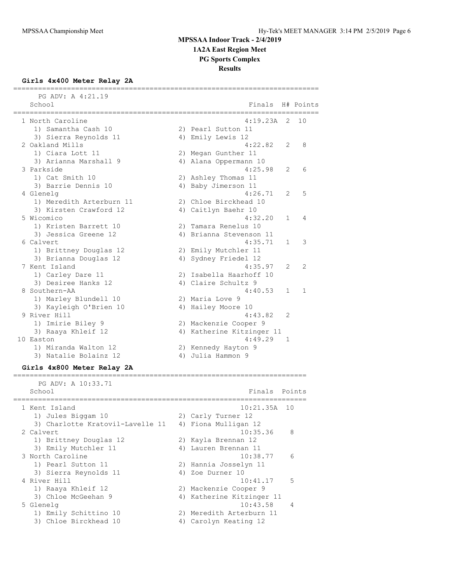**1A2A East Region Meet**

**PG Sports Complex**

**Results**

### **Girls 4x400 Meter Relay 2A**

| PG ADV: A 4:21.19           |                           |                |               |
|-----------------------------|---------------------------|----------------|---------------|
| School<br>================= | Finals                    |                | H# Points     |
| 1 North Caroline            | 4:19.23A                  | 2              | 10            |
| 1) Samantha Cash 10         | 2) Pearl Sutton 11        |                |               |
| 3) Sierra Reynolds 11       | 4) Emily Lewis 12         |                |               |
| 2 Oakland Mills             | 4:22.82                   | $\mathcal{L}$  | 8             |
| 1) Ciara Lott 11            | 2) Megan Gunther 11       |                |               |
| 3) Arianna Marshall 9       | 4) Alana Oppermann 10     |                |               |
| 3 Parkside                  | 4:25.98                   | 2              | 6             |
| 1) Cat Smith 10             | 2) Ashley Thomas 11       |                |               |
| 3) Barrie Dennis 10         | 4) Baby Jimerson 11       |                |               |
| 4 Glenelg                   | 4:26.71                   | 2              | .5            |
| 1) Meredith Arterburn 11    | 2) Chloe Birckhead 10     |                |               |
| 3) Kirsten Crawford 12      | 4) Caitlyn Baehr 10       |                |               |
| 5 Wicomico                  | 4:32.20                   | 1              | 4             |
| 1) Kristen Barrett 10       | 2) Tamara Renelus 10      |                |               |
| 3) Jessica Greene 12        | 4) Brianna Stevenson 11   |                |               |
| 6 Calvert                   | 4:35.71                   | $\mathbf{1}$   | 3             |
| 1) Brittney Douglas 12      | 2) Emily Mutchler 11      |                |               |
| 3) Brianna Douglas 12       | 4) Sydney Friedel 12      |                |               |
| 7 Kent Island               | 4:35.97                   | $\mathcal{L}$  | $\mathcal{L}$ |
| 1) Carley Dare 11           | 2) Isabella Haarhoff 10   |                |               |
| 3) Desiree Hanks 12         | 4) Claire Schultz 9       |                |               |
| 8 Southern-AA               | 4:40.53                   | 1              | 1             |
| 1) Marley Blundell 10       | 2) Maria Love 9           |                |               |
| 3) Kayleigh O'Brien 10      | 4) Hailey Moore 10        |                |               |
| 9 River Hill                | 4:43.82                   | $\mathfrak{D}$ |               |
| 1) Imirie Biley 9           | 2) Mackenzie Cooper 9     |                |               |
| 3) Raaya Khleif 12          | 4) Katherine Kitzinger 11 |                |               |
| 10 Easton                   | 4:49.29                   | $\mathbf{1}$   |               |
| 1) Miranda Walton 12        | 2) Kennedy Hayton 9       |                |               |
| 3) Natalie Bolainz 12       | 4) Julia Hammon 9         |                |               |

### **Girls 4x800 Meter Relay 2A**

| PG ADV: A 10:33.71               |                           |                 |
|----------------------------------|---------------------------|-----------------|
| School                           | Finals Points             |                 |
| 1 Kent Island                    | $10:21.35A$ 10            |                 |
| 1) Jules Biggam 10               | 2) Carly Turner 12        |                 |
| 3) Charlotte Kratovil-Lavelle 11 | 4) Fiona Mulligan 12      |                 |
| 2 Calvert                        | 10:35.36                  | 8               |
| 1) Brittney Douglas 12           | 2) Kayla Brennan 12       |                 |
| 3) Emily Mutchler 11             | 4) Lauren Brennan 11      |                 |
| 3 North Caroline                 | 10:38.77                  | $6\overline{6}$ |
| 1) Pearl Sutton 11               | 2) Hannia Josselyn 11     |                 |
| 3) Sierra Reynolds 11            | 4) Zoe Durner 10          |                 |
| 4 River Hill                     | 10:41.17                  | - 5             |
| 1) Raaya Khleif 12               | 2) Mackenzie Cooper 9     |                 |
| 3) Chloe McGeehan 9              | 4) Katherine Kitzinger 11 |                 |
| 5 Glenelq                        | 10:43.58                  | $\overline{4}$  |
| 1) Emily Schittino 10            | 2) Meredith Arterburn 11  |                 |
| 3) Chloe Birckhead 10            | 4) Carolyn Keating 12     |                 |

=======================================================================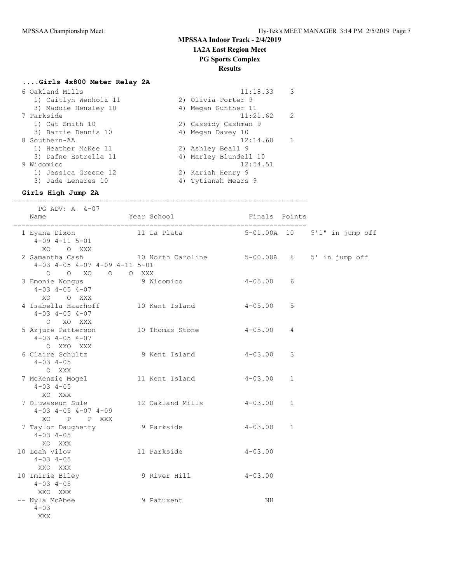### **1A2A East Region Meet**

### **PG Sports Complex**

### **Results**

# **....Girls 4x800 Meter Relay 2A**

| 6 Oakland Mills       | 11:18.33<br>3         |
|-----------------------|-----------------------|
| 1) Caitlyn Wenholz 11 | 2) Olivia Porter 9    |
| 3) Maddie Hensley 10  | 4) Megan Gunther 11   |
| 7 Parkside            | 11:21.62<br>2         |
| 1) Cat Smith 10       | 2) Cassidy Cashman 9  |
| 3) Barrie Dennis 10   | 4) Megan Davey 10     |
| 8 Southern-AA         | 12:14.60              |
| 1) Heather McKee 11   | 2) Ashley Beall 9     |
| 3) Dafne Estrella 11  | 4) Marley Blundell 10 |
| 9 Wicomico            | 12:54.51              |
| 1) Jessica Greene 12  | 2) Kariah Henry 9     |
| 3) Jade Lenares 10    | 4) Tytianah Mears 9   |

#### **Girls High Jump 2A**

=======================================================================

| PG ADV: A 4-07                                                                |                                                                            |               |                |                              |
|-------------------------------------------------------------------------------|----------------------------------------------------------------------------|---------------|----------------|------------------------------|
| Name                                                                          | Year School                                                                | Finals Points |                |                              |
| $4 - 09$ $4 - 11$ $5 - 01$<br>XO O XXX                                        | 1 Eyana Dixon 11 La Plata                                                  |               |                | 5-01.00A 10 5'1" in jump off |
| $4-03$ $4-05$ $4-07$ $4-09$ $4-11$ $5-01$<br>0 0 XO 0 0 XXX                   | 2 Samantha Cash                 10 North Caroline           5-00.00A     8 |               |                | 5' in jump off               |
| 3 Emonie Wongus<br>$4-03$ $4-05$ $4-07$<br>XO OXXX                            | 9 Wicomico                                                                 | $4 - 05.00$   | 6              |                              |
| 4 Isabella Haarhoff 10 Kent Island<br>$4 - 03$ $4 - 05$ $4 - 07$<br>O XO XXX  |                                                                            | $4 - 05.00$   | 5              |                              |
| 5 Azjure Patterson 10 Thomas Stone<br>$4 - 03$ $4 - 05$ $4 - 07$<br>O XXO XXX |                                                                            | $4 - 05.00$   | $\overline{4}$ |                              |
| 6 Claire Schultz<br>$4 - 03$ $4 - 05$<br>O XXX                                | 9 Kent Island                                                              | $4 - 03.00$   | 3              |                              |
| $4 - 03$ $4 - 05$<br>XO XXX                                                   | 7 McKenzie Mogel 6 11 Kent Island                                          | $4 - 03.00$   | $\mathbf{1}$   |                              |
| 7 Oluwaseun Sule<br>$4-03$ $4-05$ $4-07$ $4-09$<br>XO P P XXX                 | 12 Oakland Mills                                                           | $4 - 03.00$   | 1              |                              |
| 7 Taylor Daugherty<br>$4 - 03$ $4 - 05$<br>XO XXX                             | 9 Parkside                                                                 | $4 - 03.00$   | $\mathbf{1}$   |                              |
| 10 Leah Vilov<br>$4 - 03$ $4 - 05$<br>XXO XXX                                 | 11 Parkside                                                                | $4 - 03.00$   |                |                              |
| 10 Imirie Biley<br>$4 - 03$ $4 - 05$<br>XXO XXX                               | 9 River Hill                                                               | $4 - 03.00$   |                |                              |
| -- Nyla McAbee<br>$4 - 03$<br>XXX                                             | 9 Patuxent                                                                 | NH            |                |                              |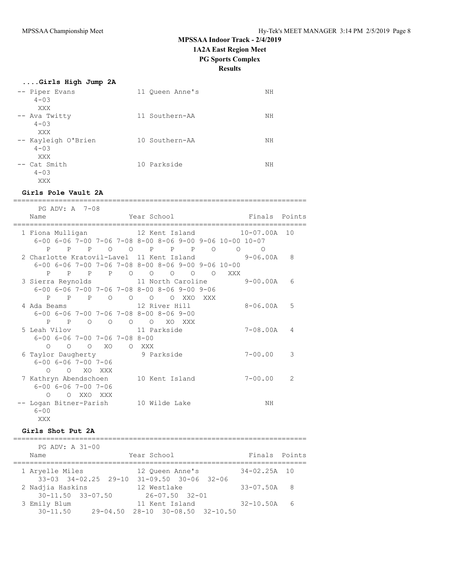#### **....Girls High Jump 2A**

| -- Piper Evans<br>$4 - 0.3$<br>XXX      | 11 Oueen Anne's | NΗ |
|-----------------------------------------|-----------------|----|
| -- Ava Twitty<br>$4 - 0.3$<br>XXX       | 11 Southern-AA  | ΝH |
| -- Kayleigh O'Brien<br>$4 - 0.3$<br>XXX | 10 Southern-AA  | NΗ |
| -- Cat Smith<br>$4 - 0.3$<br>XXX        | 10 Parkside     | NΗ |

#### **Girls Pole Vault 2A**

======================================================================= PG ADV: A 7-08 Name **The Year School** Finals Points ======================================================================= 1 Fiona Mulligan 12 Kent Island 10-07.00A 10 6-00 6-06 7-00 7-06 7-08 8-00 8-06 9-00 9-06 10-00 10-07 P P P O O P P P O O O 2 Charlotte Kratovil-Lavel 11 Kent Island 9-06.00A 8 6-00 6-06 7-00 7-06 7-08 8-00 8-06 9-00 9-06 10-00 P P P P O O O O O XXX 3 Sierra Reynolds 11 North Caroline 9-00.00A 6 6-00 6-06 7-00 7-06 7-08 8-00 8-06 9-00 9-06 P P P O O O O XXO XXX 4 Ada Beams 12 River Hill 8-06.00A 5 6-00 6-06 7-00 7-06 7-08 8-00 8-06 9-00 P P O O O O XO XXX 5 Leah Vilov 11 Parkside 7-08.00A 4 6-00 6-06 7-00 7-06 7-08 8-00 O O O XO O XXX 6 Taylor Daugherty 9 Parkside 7-00.00 3 6-00 6-06 7-00 7-06 O O XO XXX 7 Kathryn Abendschoen 10 Kent Island 7-00.00 2 6-00 6-06 7-00 7-06 O O XXO XXX -- Logan Bitner-Parish 10 Wilde Lake NH  $6 - 00$ XXX

#### **Girls Shot Put 2A**

======================================================================= PG ADV: A 31-00 Name Year School Team Finals Points ======================================================================= 1 Aryelle Miles 12 Queen Anne's 34-02.25A 10 33-03 34-02.25 29-10 31-09.50 30-06 32-06 2 Nadjia Haskins 12 Westlake 33-07.50A 8 30-11.50 33-07.50 26-07.50 32-01 3 Emily Blum 11 Kent Island 32-10.50A 6 30-11.50 29-04.50 28-10 30-08.50 32-10.50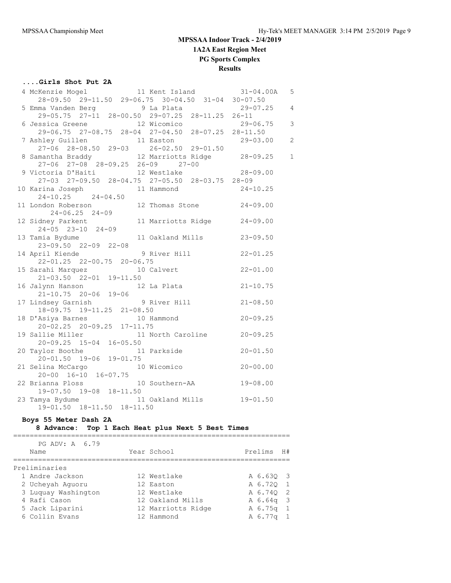### **....Girls Shot Put 2A**

| 4 McKenzie Mogel 11 Kent Island 31-04.00A<br>28-09.50 29-11.50 29-06.75 30-04.50 31-04 30-07.50                              |                | $5^{\circ}$    |
|------------------------------------------------------------------------------------------------------------------------------|----------------|----------------|
|                                                                                                                              |                |                |
| 5 Emma Vanden Berg (1998) 9 La Plata (1988) 29-07.25 4                                                                       |                |                |
| $29-05.75$ $27-11$ $28-00.50$ $29-07.25$ $28-11.25$ $26-11$                                                                  |                |                |
| 6 Jessica Greene 12 Wicomico                                                                                                 | $29 - 06.75$ 3 |                |
| 29-06.75 27-08.75 28-04 27-04.50 28-07.25 28-11.50                                                                           |                |                |
|                                                                                                                              |                | $\overline{c}$ |
|                                                                                                                              |                |                |
| 7 Ashley Guillen<br>27-06 28-08.50 29-03 26-02.50 29-01.50<br>8 Samantha Braddy<br>27-06 27-08 28-09.25 26-09 27-00<br>27-00 |                | $1\,$          |
|                                                                                                                              |                |                |
| 27-06 27-08 28-09.25 26-09 27-00<br>9 Victoria D'Haiti 12 Westlake 28-09.00                                                  |                |                |
| 27-03 27-09.50 28-04.75 27-05.50 28-03.75 28-09                                                                              |                |                |
| 10 Karina Joseph 11 Hammond 24-10.25<br>24-10.25 24-04.50                                                                    |                |                |
| $24-10.25$ $24-04.50$                                                                                                        |                |                |
| 12 Thomas Stone 24-09.00<br>11 London Roberson                                                                               |                |                |
|                                                                                                                              |                |                |
|                                                                                                                              |                |                |
|                                                                                                                              |                |                |
| $24-05$ 23-10 24-09<br>13 Tamia Bydume 11 Oakland Mills 23-09.50                                                             |                |                |
| 23-09.50 22-09 22-08                                                                                                         |                |                |
| 9 River Hill 22-01.25<br>14 April Kiende                                                                                     |                |                |
| 22-01.25 22-00.75 20-06.75                                                                                                   |                |                |
|                                                                                                                              |                |                |
| 15 Sarahi Marquez 10 Calvert 22-01.00<br>21-03.50 22-01 19-11.50                                                             |                |                |
|                                                                                                                              |                |                |
| 16 Jalynn Hanson 12 La Plata 21-10.75<br>21-10.75 20-06 19-06                                                                |                |                |
| 21-10.75 20-06 19-06<br>17 Lindsey Garnish 9 River Hill 21-08.50                                                             |                |                |
| $18-09.75$ 19-11.25 21-08.50                                                                                                 |                |                |
| 10 Hammond 20-09.25<br>18 D'Asiya Barnes                                                                                     |                |                |
| 20-02.25 20-09.25 17-11.75                                                                                                   |                |                |
| 11 North Caroline 20-09.25<br>19 Sallie Miller                                                                               |                |                |
|                                                                                                                              |                |                |
| 20-09.25 15-04 16-05.50<br>ylor Boothe 11<br>11 Parkside 20-01.50<br>20 Taylor Boothe                                        |                |                |
| $20 - 01.50$ 19-06 19-01.75                                                                                                  |                |                |
| 10 Wicomico 20-00.00<br>21 Selina McCargo                                                                                    |                |                |
| 20-00 16-10 16-07.75                                                                                                         |                |                |
| 22 Brianna Ploss 10 Southern-AA 19-08.00                                                                                     |                |                |
| 19-07.50 19-08 18-11.50                                                                                                      |                |                |
|                                                                                                                              |                |                |
| 23 Tamya Bydume 11 Oakland Mills 19-01.50<br>19-01.50 18-11.50 18-11.50                                                      |                |                |
|                                                                                                                              |                |                |

#### **Boys 55 Meter Dash 2A**

### **8 Advance: Top 1 Each Heat plus Next 5 Best Times**

| PG ADV: A 6.79<br>Name |                     | Year School        | Prelims   | H# |
|------------------------|---------------------|--------------------|-----------|----|
|                        | Preliminaries       |                    |           |    |
|                        | 1 Andre Jackson     | 12 Westlake        | A 6.630 3 |    |
|                        | 2 Ucheyah Aquoru    | 12 Easton          | A 6.720 1 |    |
|                        | 3 Luquay Washington | 12 Westlake        | A 6.740 2 |    |
|                        | 4 Rafi Cason        | 12 Oakland Mills   | A 6.64q 3 |    |
|                        | 5 Jack Liparini     | 12 Marriotts Ridge | A 6.75q 1 |    |
|                        | 6 Collin Evans      | 12 Hammond         | A 6.77q 1 |    |
|                        |                     |                    |           |    |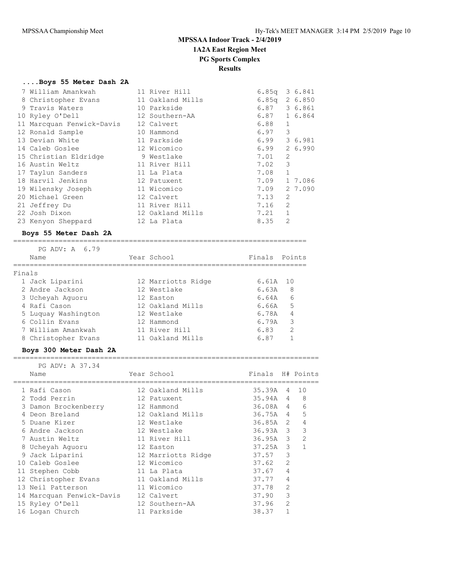### **....Boys 55 Meter Dash 2A**

| 7 William Amankwah        | 11 River Hill    | 6.85q           |                | 3 6.841 |
|---------------------------|------------------|-----------------|----------------|---------|
| 8 Christopher Evans       | 11 Oakland Mills | $6.85q$ 2 6.850 |                |         |
| 9 Travis Waters           | 10 Parkside      | 6.87            |                | 3 6.861 |
| 10 Ryley O'Dell           | 12 Southern-AA   | 6.87            |                | 1 6.864 |
| 11 Marcquan Fenwick-Davis | 12 Calvert       | 6.88            | 1              |         |
| 12 Ronald Sample          | 10 Hammond       | 6.97            | 3              |         |
| 13 Devian White           | 11 Parkside      | 6.99            |                | 3 6.981 |
| 14 Caleb Goslee           | 12 Wicomico      | 6.99            |                | 2 6.990 |
| 15 Christian Eldridge     | 9 Westlake       | 7.01            | 2              |         |
| 16 Austin Weltz           | 11 River Hill    | 7.02            | 3              |         |
| 17 Taylun Sanders         | 11 La Plata      | 7.08            | $\mathbf{1}$   |         |
| 18 Harvil Jenkins         | 12 Patuxent      | 7.09            |                | 1 7.086 |
| 19 Wilensky Joseph        | 11 Wicomico      | 7.09            |                | 2 7.090 |
| 20 Michael Green          | 12 Calvert       | 7.13            | $\overline{2}$ |         |
| 21 Jeffrey Du             | 11 River Hill    | 7.16            | $\overline{2}$ |         |
| 22 Josh Dixon             | 12 Oakland Mills | 7.21            | $\mathbf{1}$   |         |
| 23 Kenyon Sheppard        | 12 La Plata      | 8.35            | 2              |         |

#### **Boys 55 Meter Dash 2A**

|        | PG ADV: A 6.79<br>Name | Year School        | Finals Points |               |
|--------|------------------------|--------------------|---------------|---------------|
| Finals |                        |                    |               |               |
|        | 1 Jack Liparini        | 12 Marriotts Ridge | $6.61A$ 10    |               |
|        | 2 Andre Jackson        | 12 Westlake        | 6.63A         | 8             |
|        | 3 Ucheyah Aquoru       | 12 Easton          | 6.64A         | 6             |
|        | 4 Rafi Cason           | 12 Oakland Mills   | 6.66A         | -5            |
|        | 5 Luquay Washington    | 12 Westlake        | 6.78A         | 4             |
|        | 6 Collin Evans         | 12 Hammond         | 6.79A         | 3             |
|        | 7 William Amankwah     | 11 River Hill      | 6.83          | $\mathcal{P}$ |
|        | 8 Christopher Evans    | 11 Oakland Mills   | 6.87          |               |

#### **Boys 300 Meter Dash 2A**

| PG ADV: A 37.34           |                    |                  |                |                |
|---------------------------|--------------------|------------------|----------------|----------------|
| Name                      | Year School        | Finals H# Points |                |                |
| 1 Rafi Cason              | 12 Oakland Mills   | 35.39A           | 4              | 10             |
| 2 Todd Perrin             | 12 Patuxent        | 35.94A           | $\overline{4}$ | 8              |
| 3 Damon Brockenberry      | 12 Hammond         | 36.08A 4         |                | 6              |
| 4 Deon Breland            | 12 Oakland Mills   | 36.75A           | $\overline{4}$ | 5              |
| 5 Duane Kizer             | 12 Westlake        | 36.85A           | 2              | 4              |
| 6 Andre Jackson           | 12 Westlake        | $36.93A$ 3       |                | 3              |
| 7 Austin Weltz            | 11 River Hill      | $36.95A$ 3       |                | $\overline{2}$ |
| 8 Ucheyah Aquoru          | 12 Easton          | 37.25A           | 3              |                |
| 9 Jack Liparini           | 12 Marriotts Ridge | 37.57            | 3              |                |
| 10 Caleb Goslee           | 12 Wicomico        | 37.62            | $\overline{2}$ |                |
| 11 Stephen Cobb           | 11 La Plata        | 37.67            | 4              |                |
| 12 Christopher Evans      | 11 Oakland Mills   | 37.77            | 4              |                |
| 13 Neil Patterson         | 11 Wicomico        | 37.78            | 2              |                |
| 14 Marcquan Fenwick-Davis | 12 Calvert         | 37.90            | 3              |                |
| 15 Ryley O'Dell           | 12 Southern-AA     | 37.96            | $\overline{2}$ |                |
| 16 Logan Church           | 11 Parkside        | 38.37            |                |                |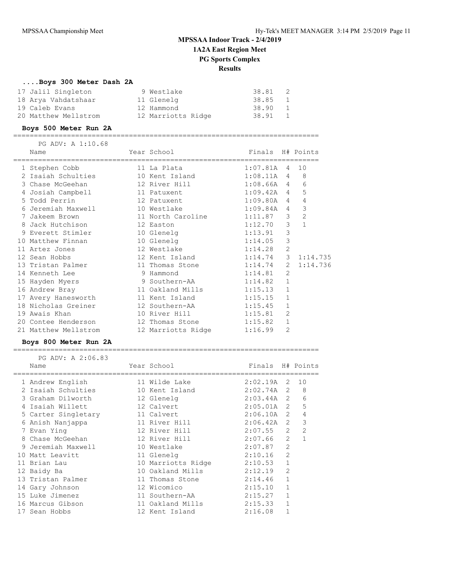### **....Boys 300 Meter Dash 2A**

| 17 Jalil Singleton   | 9 Westlake         | 38.81   |                |
|----------------------|--------------------|---------|----------------|
| 18 Arya Vahdatshaar  | 11 Glenelg         | 38.85 1 |                |
| 19 Caleb Evans       | 12 Hammond         | 38.90   | $\overline{1}$ |
| 20 Matthew Mellstrom | 12 Marriotts Ridge | 38.91   | $\sim$ 1       |

#### **Boys 500 Meter Run 2A**

========================================================================== PG ADV: A 1:10.68

| Name                                | Year School        | Finals H# Points |                |              |
|-------------------------------------|--------------------|------------------|----------------|--------------|
| 1 Stephen Cobb                      | 11 La Plata        | $1:07.81A$ 4     |                | 10           |
| 2 Isaiah Schulties 10 Kent Island   |                    | $1:08.11A$ 4     |                | 8            |
| 3 Chase McGeehan 12 River Hill      |                    | $1:08.66A$ 4     |                | 6            |
| 4 Josiah Campbell 11 Patuxent       |                    | $1:09.42A$ 4     |                | 5            |
| 5 Todd Perrin<br>12 Patuxent        |                    | $1:09.80A$ 4     |                | 4            |
| 6 Jeremiah Maxwell 6 10 Westlake    |                    | $1:09.84A$ 4     |                | 3            |
| 7 Jakeem Brown                      | 11 North Caroline  | 1:11.87          | 3 <sup>7</sup> | $\mathbf{2}$ |
| 8 Jack Hutchison 12 Easton          |                    | 1:12.70          | 3              | $\mathbf{1}$ |
| 9 Everett Stimler 10 Glenelg        |                    | 1:13.91          | 3              |              |
| 10 Matthew Finnan 10 Glenelg        |                    | 1:14.05          | 3              |              |
| 11 Artez Jones                      | 12 Westlake        | 1:14.28          | 2              |              |
| 12 Sean Hobbs                       | 12 Kent Island     | 1:14.74          |                | 3, 1:14.735  |
| 13 Tristan Palmer 11 Thomas Stone   |                    | 1:14.74          | $\overline{2}$ | 1:14.736     |
| 14 Kenneth Lee                      | 9 Hammond          | 1:14.81          | 2              |              |
| 15 Hayden Myers                     | 9 Southern-AA      | 1:14.82          | $\mathbf{1}$   |              |
| 16 Andrew Bray                      | 11 Oakland Mills   | 1:15.13          | $\mathbf{1}$   |              |
| 17 Avery Hanesworth 11 Kent Island  |                    | 1:15.15          | $\mathbf{1}$   |              |
| 18 Nicholas Greiner                 | 12 Southern-AA     | 1:15.45          | $\mathbf{1}$   |              |
| 19 Awais Khan                       | 10 River Hill      | 1:15.81          | 2              |              |
| 20 Contee Henderson 12 Thomas Stone |                    | 1:15.82          | $\mathbf{1}$   |              |
| 21 Matthew Mellstrom                | 12 Marriotts Ridge | 1:16.99          | 2              |              |

#### **Boys 800 Meter Run 2A**

========================================================================== PG ADV: A 2:06.83

| PG ADV: A ZIU0.00<br>Name | Year School        | Finals H# Points |                |                |
|---------------------------|--------------------|------------------|----------------|----------------|
|                           |                    |                  |                |                |
| 1 Andrew English          | 11 Wilde Lake      | $2:02.19A$ 2 10  |                |                |
| 2 Isaiah Schulties        | 10 Kent Island     | $2:02.74A$ 2     |                | 8              |
| 3 Graham Dilworth         | 12 Glenelg         | $2:03.44A$ 2     |                | 6              |
| Isaiah Willett            | 12 Calvert         | $2:05.01A$ 2     |                | 5              |
| 5 Carter Singletary       | 11 Calvert         | $2:06.10A$ 2     |                | 4              |
| 6 Anish Nanjappa          | 11 River Hill      | $2:06.42A$ 2     |                | $\mathcal{E}$  |
| 7 Evan Ying               | 12 River Hill      | $2:07.55$ 2      |                | $\overline{2}$ |
| 8 Chase McGeehan          | 12 River Hill      | 2:07.66          | 2              | 1              |
| 9 Jeremiah Maxwell        | 10 Westlake        | 2:07.87          | $\overline{2}$ |                |
| 10 Matt Leavitt           | 11 Glenelg         | 2:10.16          | $\overline{2}$ |                |
| 11 Brian Lau              | 10 Marriotts Ridge | 2:10.53          | $\mathbf{1}$   |                |
| 12 Baidy Ba               | 10 Oakland Mills   | 2:12.19          | $\overline{2}$ |                |
| 13 Tristan Palmer         | 11 Thomas Stone    | 2:14.46          | $\mathbf{1}$   |                |
| 14 Gary Johnson           | 12 Wicomico        | 2:15.10          | $\mathbf{1}$   |                |
| 15 Luke Jimenez           | 11 Southern-AA     | 2:15.27          | $\mathbf{1}$   |                |
| 16 Marcus Gibson          | 11 Oakland Mills   | 2:15.33          | $\mathbf{1}$   |                |
| 17 Sean Hobbs             | 12 Kent Island     | 2:16.08          |                |                |
|                           |                    |                  |                |                |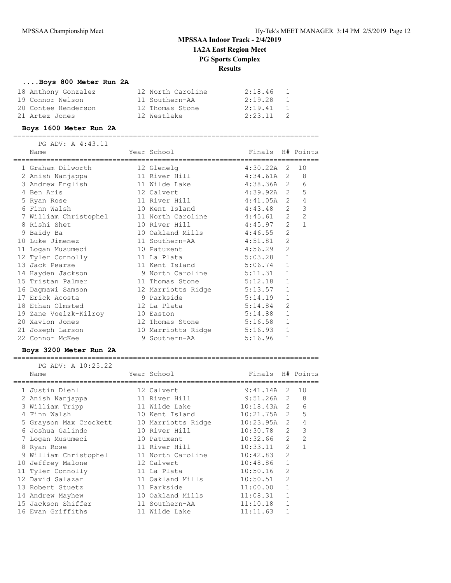### **....Boys 800 Meter Run 2A**

| 18 Anthony Gonzalez | 12 North Caroline | 2:18.46<br>1 |  |
|---------------------|-------------------|--------------|--|
| 19 Connor Nelson    | 11 Southern-AA    | 2:19.28<br>1 |  |
| 20 Contee Henderson | 12 Thomas Stone   | 2:19.41<br>1 |  |
| 21 Artez Jones      | 12 Westlake       | $2:23.11$ 2  |  |

#### **Boys 1600 Meter Run 2A**

==========================================================================

| PG ADV: A 4:43.11     |                            |                  |                |                |
|-----------------------|----------------------------|------------------|----------------|----------------|
| Name                  | Year School                | Finals H# Points |                |                |
| 1 Graham Dilworth     | 12 Glenelg                 | $4:30.22A$ 2     |                | 10             |
| 2 Anish Nanjappa      | 11 River Hill              | $4:34.61A$ 2     |                | 8              |
| 3 Andrew English      | 11 Wilde Lake              | 4:38.36A 2       |                | 6              |
| 4 Ben Aris            | 12 Calvert                 | $4:39.92A$ 2     |                | 5              |
| 5 Ryan Rose           | 11 River Hill              | $4:41.05A$ 2     |                | $\sqrt{4}$     |
| 6 Finn Walsh          | 10 Kent Island             | 4:43.48          | 2              | 3              |
| 7 William Christophel | 11 North Caroline          | 4:45.61          | 2              | $\overline{2}$ |
| 8 Rishi Shet          | 10 River Hill              | 4:45.97          | 2              | $\mathbf{1}$   |
| 9 Baidy Ba            | 10 Oakland Mills           | 4:46.55          | $\overline{2}$ |                |
| 10 Luke Jimenez       | 11 Southern-AA 4:51.81     |                  | 2              |                |
| 11 Logan Musumeci     | 10 Patuxent                | 4:56.29          | 2              |                |
| 12 Tyler Connolly     | 11 La Plata                | 5:03.28          | $\mathbf{1}$   |                |
| 13 Jack Pearse        | 11 Kent Island             | 5:06.74          | $\mathbf{1}$   |                |
| 14 Hayden Jackson     | 9 North Caroline 5:11.31   |                  | $\mathbf{1}$   |                |
| 15 Tristan Palmer     | 11 Thomas Stone            | 5:12.18          | $\mathbf{1}$   |                |
| 16 Dagmawi Samson     | 12 Marriotts Ridge 5:13.57 |                  | $\mathbf{1}$   |                |
| 17 Erick Acosta       | 9 Parkside<br>5:14.19      |                  | $\mathbf{1}$   |                |
| 18 Ethan Olmsted      | 12 La Plata                | 5:14.84          | 2              |                |
| 19 Zane Voelzk-Kilroy | 10 Easton                  | 5:14.88          | $\mathbf{1}$   |                |
| 20 Xavion Jones       | 12 Thomas Stone            | 5:16.58          | $\mathbf{1}$   |                |
| 21 Joseph Larson      | 10 Marriotts Ridge 5:16.93 |                  | $\mathbf{1}$   |                |
| 22 Connor McKee       | 9 Southern-AA              | 5:16.96          | 1              |                |

#### **Boys 3200 Meter Run 2A**

| PG ADV: A 10:25.22     |                    |                  |                |                |
|------------------------|--------------------|------------------|----------------|----------------|
| Name                   | Year School        | Finals H# Points |                |                |
| 1 Justin Diehl         | 12 Calvert         | $9:41.14A$ 2     |                | 10             |
| 2 Anish Nanjappa       | 11 River Hill      | 9:51.26A         | $\mathcal{L}$  | 8              |
| 3 William Tripp        | 11 Wilde Lake      | $10:18.43A$ 2    |                | 6              |
| 4 Finn Walsh           | 10 Kent Island     | 10:21.75A        | 2              | 5              |
| 5 Grayson Max Crockett | 10 Marriotts Ridge | 10:23.95A        | $\mathcal{L}$  | 4              |
| 6 Joshua Galindo       | 10 River Hill      | 10:30.78         | $\mathcal{L}$  | 3              |
| 7 Loqan Musumeci       | 10 Patuxent        | 10:32.66         | 2              | $\overline{2}$ |
| 8 Ryan Rose            | 11 River Hill      | 10:33.11         | $\mathcal{L}$  |                |
| 9 William Christophel  | 11 North Caroline  | 10:42.83         | $\mathcal{P}$  |                |
| 10 Jeffrey Malone      | 12 Calvert         | 10:48.86         | $\mathbf{1}$   |                |
| 11 Tyler Connolly      | 11 La Plata        | 10:50.16         | $\overline{2}$ |                |
| 12 David Salazar       | 11 Oakland Mills   | 10:50.51         | $\overline{2}$ |                |
| 13 Robert Stuetz       | 11 Parkside        | 11:00.00         | 1              |                |
| 14 Andrew Mayhew       | 10 Oakland Mills   | 11:08.31         | $\mathbf{1}$   |                |
| 15 Jackson Shiffer     | 11 Southern-AA     | 11:10.18         | 1              |                |
| 16 Evan Griffiths      | 11 Wilde Lake      | 11:11.63         |                |                |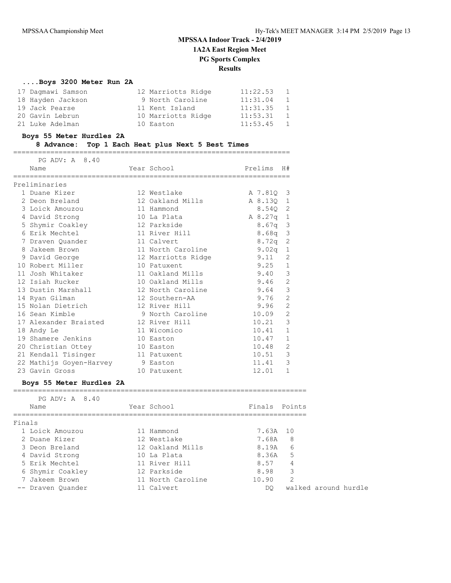### **....Boys 3200 Meter Run 2A**

| 17 Dagmawi Samson | 12 Marriotts Ridge | 11:22.53 | <sup>1</sup> |
|-------------------|--------------------|----------|--------------|
| 18 Hayden Jackson | 9 North Caroline   | 11:31.04 | 1            |
| 19 Jack Pearse    | 11 Kent Island     | 11:31.35 | $\mathbf{1}$ |
| 20 Gavin Lebrun   | 10 Marriotts Ridge | 11:53.31 | 1            |
| 21 Luke Adelman   | 10 Easton          | 11:53.45 | $\sim$ 1     |

#### **Boys 55 Meter Hurdles 2A**

#### **8 Advance: Top 1 Each Heat plus Next 5 Best Times**

===================================================================

| PG ADV: A 8.40          |                    |           |                |
|-------------------------|--------------------|-----------|----------------|
| Name                    | Year School        | Prelims   | H#             |
| Preliminaries           |                    |           |                |
|                         |                    |           |                |
| 1 Duane Kizer           | 12 Westlake        | A 7.810 3 |                |
| 2 Deon Breland          | 12 Oakland Mills   | A 8.13Q   | $\overline{1}$ |
| 3 Loick Amouzou         | 11 Hammond         | 8.54Q 2   |                |
| 4 David Strong          | 10 La Plata        | A 8.27q   | 1              |
| 5 Shymir Coakley        | 12 Parkside        | 8.67q     | 3              |
| 6 Erik Mechtel          | 11 River Hill      | $8.68q$ 3 |                |
| 7 Draven Quander        | 11 Calvert         | 8.72q     | 2              |
| 8 Jakeem Brown          | 11 North Caroline  | 9.02q     | $\mathbf{1}$   |
| 9 David George          | 12 Marriotts Ridge | 9.11      | $\overline{2}$ |
| 10 Robert Miller        | 10 Patuxent        | 9.25      | $\mathbf{1}$   |
| 11 Josh Whitaker        | 11 Oakland Mills   | 9.40      | 3              |
| 12 Isiah Rucker         | 10 Oakland Mills   | 9.46      | $\overline{2}$ |
| 13 Dustin Marshall      | 12 North Caroline  | 9.64      | $\mathcal{E}$  |
| 14 Ryan Gilman          | 12 Southern-AA     | 9.76      | $\overline{2}$ |
| 15 Nolan Dietrich       | 12 River Hill      | 9.96      | $\overline{2}$ |
| 16 Sean Kimble          | 9 North Caroline   | 10.09     | $\overline{2}$ |
| 17 Alexander Braisted   | 12 River Hill      | 10.21     | 3              |
| 18 Andy Le              | 11 Wicomico        | 10.41     | $\mathbf{1}$   |
| 19 Shamere Jenkins      | 10 Easton          | 10.47     | $\mathbf{1}$   |
| 20 Christian Ottey      | 10 Easton          | 10.48     | 2              |
| 21 Kendall Tisinger     | 11 Patuxent        | 10.51     | 3              |
| 22 Mathijs Goyen-Harvey | 9 Easton           | 11.41     | 3              |
| 23 Gavin Gross          | 10 Patuxent        | 12.01     | $\mathbf{1}$   |

#### **Boys 55 Meter Hurdles 2A**

| PG ADV: A 8.40<br>Finals Points<br>Year School<br>Name<br>1 Loick Amouzou<br>7.63A 10<br>11 Hammond<br>- 8<br>7.68A<br>2 Duane Kizer<br>12 Westlake<br>8.19A<br>6<br>12 Oakland Mills<br>3 Deon Breland<br>-5<br>8.36A<br>4 David Strong<br>10 La Plata<br>8.57<br>5 Erik Mechtel<br>11 River Hill<br>4<br>3<br>12 Parkside<br>8.98<br>6 Shymir Coakley<br>2<br>11 North Caroline<br>10.90<br>7 Jakeem Brown<br>walked around hurdle<br>11 Calvert<br>-- Draven Ouander<br>DO |  |  |  |  |
|-------------------------------------------------------------------------------------------------------------------------------------------------------------------------------------------------------------------------------------------------------------------------------------------------------------------------------------------------------------------------------------------------------------------------------------------------------------------------------|--|--|--|--|
| Finals                                                                                                                                                                                                                                                                                                                                                                                                                                                                        |  |  |  |  |
|                                                                                                                                                                                                                                                                                                                                                                                                                                                                               |  |  |  |  |
|                                                                                                                                                                                                                                                                                                                                                                                                                                                                               |  |  |  |  |
|                                                                                                                                                                                                                                                                                                                                                                                                                                                                               |  |  |  |  |
|                                                                                                                                                                                                                                                                                                                                                                                                                                                                               |  |  |  |  |
|                                                                                                                                                                                                                                                                                                                                                                                                                                                                               |  |  |  |  |
|                                                                                                                                                                                                                                                                                                                                                                                                                                                                               |  |  |  |  |
|                                                                                                                                                                                                                                                                                                                                                                                                                                                                               |  |  |  |  |
|                                                                                                                                                                                                                                                                                                                                                                                                                                                                               |  |  |  |  |
|                                                                                                                                                                                                                                                                                                                                                                                                                                                                               |  |  |  |  |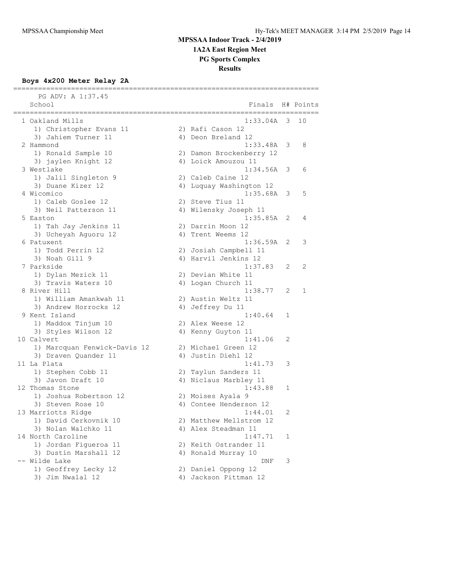**1A2A East Region Meet**

**PG Sports Complex**

**Results**

==========================================================================

### **Boys 4x200 Meter Relay 2A**

| PG ADV: A 1:37.45<br>School                     |                     | Finals H# Points                       |   |    |
|-------------------------------------------------|---------------------|----------------------------------------|---|----|
| 1 Oakland Mills                                 | =================== | $1:33.04A$ 3                           |   | 10 |
| 1) Christopher Evans 11                         |                     | 2) Rafi Cason 12                       |   |    |
| 3) Jahiem Turner 11                             |                     | 4) Deon Breland 12                     |   |    |
| 2 Hammond                                       |                     | $1:33.48A$ 3                           |   | 8  |
| 1) Ronald Sample 10                             |                     | 2) Damon Brockenberry 12               |   |    |
| 3) jaylen Knight 12                             |                     | 4) Loick Amouzou 11                    |   |    |
| 3 Westlake                                      |                     | $1:34.56A$ 3                           |   | 6  |
| 1) Jalil Singleton 9                            |                     | 2) Caleb Caine 12                      |   |    |
| 3) Duane Kizer 12                               |                     | 4) Luquay Washington 12                |   |    |
| 4 Wicomico                                      |                     | 1:35.68A                               | 3 | 5  |
| 1) Caleb Goslee 12                              |                     | 2) Steve Tius 11                       |   |    |
| 3) Neil Patterson 11                            |                     | 4) Wilensky Joseph 11                  |   |    |
| 5 Easton                                        |                     | 1:35.85A                               | 2 | 4  |
| 1) Tah Jay Jenkins 11                           |                     | 2) Darrin Moon 12                      |   |    |
| 3) Ucheyah Aguoru 12                            |                     | 4) Trent Weems 12                      |   |    |
| 6 Patuxent                                      |                     | 1:36.59A 2                             |   | 3  |
| 1) Todd Perrin 12                               |                     | 2) Josiah Campbell 11                  |   |    |
| 3) Noah Gill 9                                  |                     | 4) Harvil Jenkins 12                   |   |    |
| 7 Parkside                                      |                     | 1:37.83                                | 2 | 2  |
| 1) Dylan Mezick 11                              |                     | 2) Devian White 11                     |   |    |
| 3) Travis Waters 10<br>8 River Hill             |                     | 4) Logan Church 11<br>1:38.77          | 2 | 1  |
|                                                 |                     |                                        |   |    |
| 1) William Amankwah 11<br>3) Andrew Horrocks 12 |                     | 2) Austin Weltz 11<br>4) Jeffrey Du 11 |   |    |
| 9 Kent Island                                   |                     | 1:40.64                                | 1 |    |
| 1) Maddox Tinjum 10                             |                     | 2) Alex Weese 12                       |   |    |
| 3) Styles Wilson 12                             |                     | 4) Kenny Guyton 11                     |   |    |
| 10 Calvert                                      |                     | 1:41.06                                | 2 |    |
| 1) Marcquan Fenwick-Davis 12                    |                     | 2) Michael Green 12                    |   |    |
| 3) Draven Quander 11                            |                     | 4) Justin Diehl 12                     |   |    |
| 11 La Plata                                     |                     | 1:41.73                                | 3 |    |
| 1) Stephen Cobb 11                              |                     | 2) Taylun Sanders 11                   |   |    |
| 3) Javon Draft 10                               |                     | 4) Niclaus Marbley 11                  |   |    |
| 12 Thomas Stone                                 |                     | 1:43.88                                | 1 |    |
| 1) Joshua Robertson 12                          |                     | 2) Moises Ayala 9                      |   |    |
| 3) Steven Rose 10                               |                     | 4) Contee Henderson 12                 |   |    |
| 13 Marriotts Ridge                              |                     | 1:44.01                                | 2 |    |
| 1) David Cerkovnik 10                           |                     | 2) Matthew Mellstrom 12                |   |    |
| 3) Nolan Walchko 11                             |                     | 4) Alex Steadman 11                    |   |    |
| 14 North Caroline                               |                     | 1:47.71                                | 1 |    |
| 1) Jordan Figueroa 11                           |                     | 2) Keith Ostrander 11                  |   |    |
| 3) Dustin Marshall 12                           |                     | 4) Ronald Murray 10                    |   |    |
| -- Wilde Lake                                   |                     | DNF                                    | 3 |    |
| 1) Geoffrey Lecky 12                            |                     | 2) Daniel Oppong 12                    |   |    |
| 3) Jim Nwalal 12                                |                     | 4) Jackson Pittman 12                  |   |    |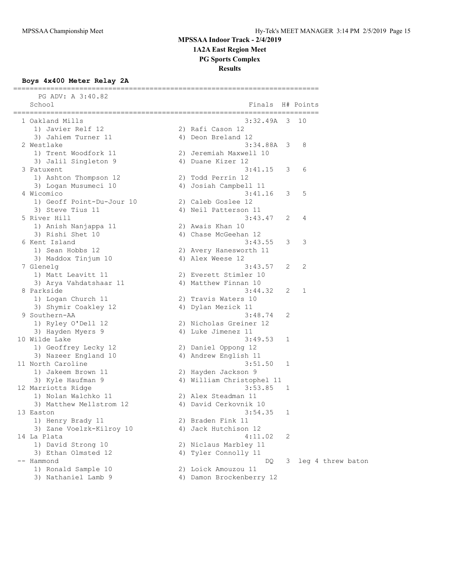**1A2A East Region Meet**

**PG Sports Complex**

**Results**

### **Boys 4x400 Meter Relay 2A**

| PG ADV: A 3:40.82<br>School                                         | Finals                             |   | H# Points         |
|---------------------------------------------------------------------|------------------------------------|---|-------------------|
| ===================<br>=========================<br>1 Oakland Mills | ======================<br>3:32.49A | 3 | - 10              |
| 1) Javier Relf 12                                                   | 2) Rafi Cason 12                   |   |                   |
| 3) Jahiem Turner 11                                                 | 4) Deon Breland 12                 |   |                   |
| 2 Westlake                                                          | $3:34.88A$ 3                       |   | 8                 |
| 1) Trent Woodfork 11                                                | 2) Jeremiah Maxwell 10             |   |                   |
| 3) Jalil Singleton 9                                                | 4) Duane Kizer 12                  |   |                   |
| 3 Patuxent                                                          | 3:41.15                            | 3 | 6                 |
| 1) Ashton Thompson 12                                               | 2) Todd Perrin 12                  |   |                   |
| 3) Logan Musumeci 10                                                | 4) Josiah Campbell 11              |   |                   |
| 4 Wicomico                                                          | 3:41.16                            | 3 | 5                 |
| 1) Geoff Point-Du-Jour 10                                           | 2) Caleb Goslee 12                 |   |                   |
| 3) Steve Tius 11                                                    | 4) Neil Patterson 11               |   |                   |
| 5 River Hill                                                        | 3:43.47                            | 2 | 4                 |
| 1) Anish Nanjappa 11                                                | 2) Awais Khan 10                   |   |                   |
| 3) Rishi Shet 10                                                    | 4) Chase McGeehan 12               |   |                   |
| 6 Kent Island                                                       | 3:43.55                            | 3 | 3                 |
| 1) Sean Hobbs 12                                                    | 2) Avery Hanesworth 11             |   |                   |
| 3) Maddox Tinjum 10                                                 | 4) Alex Weese 12                   |   |                   |
| 7 Glenelg                                                           | 3:43.57                            | 2 | 2                 |
| 1) Matt Leavitt 11                                                  | 2) Everett Stimler 10              |   |                   |
| 3) Arya Vahdatshaar 11                                              | 4) Matthew Finnan 10               |   |                   |
| 8 Parkside                                                          | 3:44.32                            | 2 | 1                 |
| 1) Logan Church 11                                                  | 2) Travis Waters 10                |   |                   |
| 3) Shymir Coakley 12                                                | 4) Dylan Mezick 11                 |   |                   |
| 9 Southern-AA                                                       | 3:48.74                            | 2 |                   |
| 1) Ryley O'Dell 12                                                  | 2) Nicholas Greiner 12             |   |                   |
| 3) Hayden Myers 9                                                   | 4) Luke Jimenez 11                 |   |                   |
| 10 Wilde Lake                                                       | 3:49.53                            | 1 |                   |
| 1) Geoffrey Lecky 12                                                | 2) Daniel Oppong 12                |   |                   |
| 3) Nazeer England 10                                                | 4) Andrew English 11               |   |                   |
| 11 North Caroline                                                   | 3:51.50                            | 1 |                   |
| 1) Jakeem Brown 11                                                  | 2) Hayden Jackson 9                |   |                   |
| 3) Kyle Haufman 9                                                   | 4) William Christophel 11          |   |                   |
| 12 Marriotts Ridge                                                  | 3:53.85                            | 1 |                   |
| 1) Nolan Walchko 11                                                 | 2) Alex Steadman 11                |   |                   |
| 3) Matthew Mellstrom 12                                             | 4) David Cerkovnik 10              |   |                   |
| 13 Easton                                                           | 3:54.35                            | 1 |                   |
| 1) Henry Brady 11                                                   | 2) Braden Fink 11                  |   |                   |
| 3) Zane Voelzk-Kilroy 10                                            | 4) Jack Hutchison 12               |   |                   |
| 14 La Plata                                                         | 4:11.02                            | 2 |                   |
| 1) David Strong 10                                                  | 2) Niclaus Marbley 11              |   |                   |
| 3) Ethan Olmsted 12                                                 | 4) Tyler Connolly 11               |   |                   |
| -- Hammond                                                          | DQ.                                | 3 | leg 4 threw baton |
| 1) Ronald Sample 10                                                 | 2) Loick Amouzou 11                |   |                   |
| 3) Nathaniel Lamb 9                                                 | 4) Damon Brockenberry 12           |   |                   |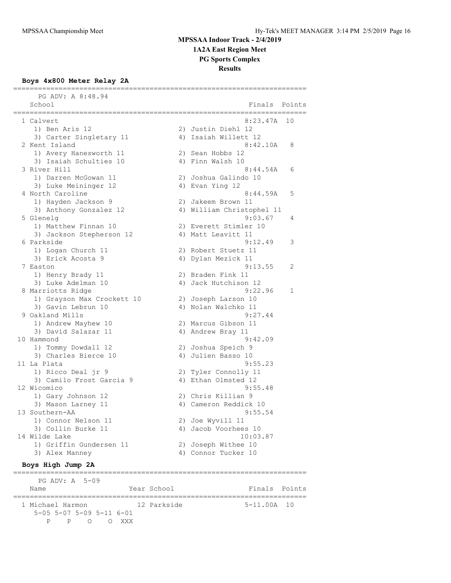### **MPSSAA Indoor Track - 2/4/2019 1A2A East Region Meet**

**PG Sports Complex**

**Results**

#### **Boys 4x800 Meter Relay 2A**

| PG ADV: A 8:48.94<br>School                 | Finals Points                            |    |
|---------------------------------------------|------------------------------------------|----|
| ==========<br>1 Calvert                     | 8:23.47A                                 | 10 |
| 1) Ben Aris 12                              | 2) Justin Diehl 12                       |    |
| 3) Carter Singletary 11                     | 4) Isaiah Willett 12                     |    |
| 2 Kent Island                               | 8:42.10A                                 | 8  |
| 1) Avery Hanesworth 11                      | 2) Sean Hobbs 12                         |    |
| 3) Isaiah Schulties 10                      | 4) Finn Walsh 10                         |    |
| 3 River Hill                                | 8:44.54A                                 | 6  |
| 1) Darren McGowan 11                        | 2) Joshua Galindo 10                     |    |
| 3) Luke Meininger 12                        | 4) Evan Ying 12                          |    |
| 4 North Caroline                            | 8:44.59A                                 | 5  |
| 1) Hayden Jackson 9                         | 2) Jakeem Brown 11                       |    |
| 3) Anthony Gonzalez 12                      | 4) William Christophel 11                |    |
| 5 Glenelg                                   | 9:03.67                                  | 4  |
| 1) Matthew Finnan 10                        | 2) Everett Stimler 10                    |    |
| 3) Jackson Stepherson 12                    | 4) Matt Leavitt 11                       |    |
| 6 Parkside                                  | 9:12.49                                  | 3  |
| 1) Logan Church 11                          | 2) Robert Stuetz 11                      |    |
| 3) Erick Acosta 9                           | 4) Dylan Mezick 11                       |    |
| 7 Easton                                    | 9:13.55                                  | 2  |
| 1) Henry Brady 11                           | 2) Braden Fink 11                        |    |
| 3) Luke Adelman 10                          | 4) Jack Hutchison 12                     |    |
| 8 Marriotts Ridge                           | 9:22.96                                  | 1  |
| 1) Grayson Max Crockett 10                  | 2) Joseph Larson 10                      |    |
| 3) Gavin Lebrun 10                          | 4) Nolan Walchko 11                      |    |
| 9 Oakland Mills                             | 9:27.44                                  |    |
| 1) Andrew Mayhew 10                         | 2) Marcus Gibson 11                      |    |
| 3) David Salazar 11<br>10 Hammond           | 4) Andrew Bray 11<br>9:42.09             |    |
|                                             |                                          |    |
| 1) Tommy Dowdall 12<br>3) Charles Bierce 10 | 2) Joshua Speich 9<br>4) Julien Basso 10 |    |
| 11 La Plata                                 | 9:55.23                                  |    |
| 1) Ricco Deal jr 9                          | 2) Tyler Connolly 11                     |    |
| 3) Camilo Frost Garcia 9                    | 4) Ethan Olmsted 12                      |    |
| 12 Wicomico                                 | 9:55.48                                  |    |
| 1) Gary Johnson 12                          | 2) Chris Killian 9                       |    |
| 3) Mason Larney 11                          | 4) Cameron Reddick 10                    |    |
| 13 Southern-AA                              | 9:55.54                                  |    |
| 1) Connor Nelson 11                         | 2) Joe Wyvill 11                         |    |
| 3) Collin Burke 11                          | 4) Jacob Voorhees 10                     |    |
| 14 Wilde Lake                               | 10:03.87                                 |    |
| 1) Griffin Gundersen 11                     | 2) Joseph Withee 10                      |    |
| 3) Alex Manney                              | 4) Connor Tucker 10                      |    |
|                                             |                                          |    |

#### **Boys High Jump 2A**

======================================================================= PG ADV: A 5-09 Name **Year School** Finals Points ======================================================================= 1 Michael Harmon 12 Parkside 5-05 5-07 5-09 5-11 6-01 P P O O XXX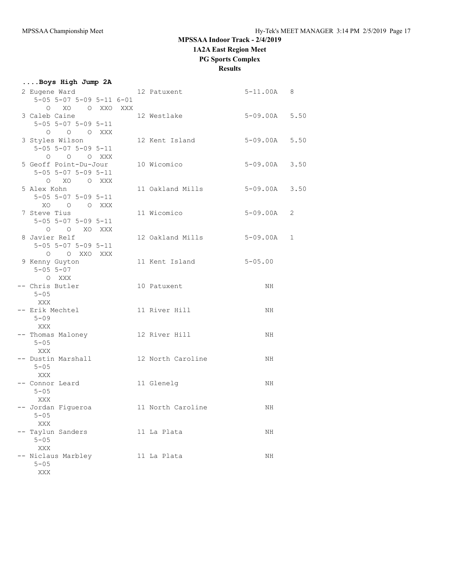**1A2A East Region Meet**

### **PG Sports Complex**

**Results**

| Boys High Jump 2A                                |                                |                   |             |
|--------------------------------------------------|--------------------------------|-------------------|-------------|
| 2 Eugene Ward                                    | 12 Patuxent                    | $5 - 11.00A$ 8    |             |
| $5-05$ $5-07$ $5-09$ $5-11$ $6-01$               |                                |                   |             |
| O XO O XXO XXX                                   |                                |                   |             |
| 3 Caleb Caine                                    | 12 Westlake                    | 5-09.00A 5.50     |             |
| $5 - 05$ $5 - 07$ $5 - 09$ $5 - 11$<br>0 0 0 XXX |                                |                   |             |
| 3 Styles Wilson                                  | 12 Kent Island                 | 5-09.00A 5.50     |             |
| $5-05$ $5-07$ $5-09$ $5-11$                      |                                |                   |             |
| O O O XXX                                        |                                |                   |             |
| 5 Geoff Point-Du-Jour                            | 10 Wicomico                    | $5 - 09.00A$ 3.50 |             |
| $5 - 05$ $5 - 07$ $5 - 09$ $5 - 11$              |                                |                   |             |
| O XO O XXX                                       |                                |                   |             |
| 5 Alex Kohn                                      | 11 Oakland Mills 5-09.00A 3.50 |                   |             |
| $5 - 05$ $5 - 07$ $5 - 09$ $5 - 11$              |                                |                   |             |
| XO O O XXX                                       |                                |                   |             |
| 7 Steve Tius                                     | 11 Wicomico                    | 5-09.00A          | 2           |
| $5 - 05$ $5 - 07$ $5 - 09$ $5 - 11$              |                                |                   |             |
| O O XO XXX                                       |                                |                   |             |
| 8 Javier Relf                                    | 12 Oakland Mills               | $5-09.00A$        | $\mathbf 1$ |
| $5 - 05$ $5 - 07$ $5 - 09$ $5 - 11$              |                                |                   |             |
| O OXXOXXX<br>9 Kenny Guyton                      | 11 Kent Island                 | $5 - 05.00$       |             |
| $5 - 05$ $5 - 07$                                |                                |                   |             |
| O XXX                                            |                                |                   |             |
| -- Chris Butler                                  | 10 Patuxent                    | NH.               |             |
| $5 - 05$                                         |                                |                   |             |
| XXX                                              |                                |                   |             |
| -- Erik Mechtel                                  | 11 River Hill                  | NH.               |             |
| $5 - 09$                                         |                                |                   |             |
| XXX                                              |                                |                   |             |
| -- Thomas Maloney                                | 12 River Hill                  | NH.               |             |
| $5 - 05$                                         |                                |                   |             |
| XXX                                              |                                |                   |             |
| -- Dustin Marshall                               | 12 North Caroline              | NH                |             |
| $5 - 05$<br>XXX                                  |                                |                   |             |
| -- Connor Leard                                  | 11 Glenelg                     | NH                |             |
| $5 - 05$                                         |                                |                   |             |
| XXX                                              |                                |                   |             |
| - Jordan Figueroa                                | 11 North Caroline              | ΝH                |             |
| $5 - 05$                                         |                                |                   |             |
| XXX                                              |                                |                   |             |
| Taylun Sanders                                   | 11 La Plata                    | ΝH                |             |
| $5 - 05$                                         |                                |                   |             |
| XXX                                              |                                |                   |             |
| Niclaus Marbley                                  | 11 La Plata                    | ΝH                |             |
| $5 - 05$                                         |                                |                   |             |
| XXX                                              |                                |                   |             |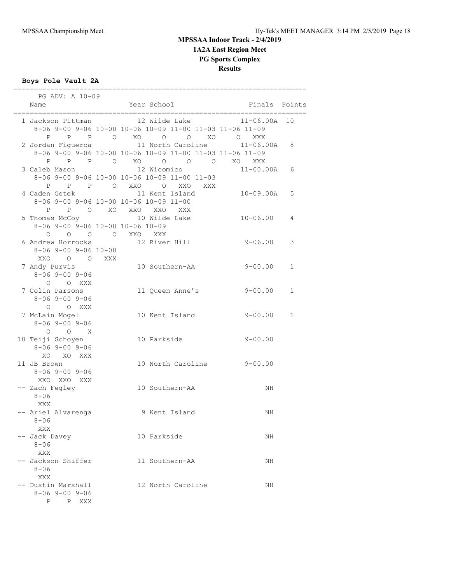### **Boys Pole Vault 2A**

| PG ADV: A 10-09                  | ======= |                                                          |                 |              |
|----------------------------------|---------|----------------------------------------------------------|-----------------|--------------|
| Name                             |         | Year School                                              | Finals Points   |              |
|                                  |         |                                                          |                 |              |
|                                  |         | 1 Jackson Pittman 12 Wilde Lake 11-06.00A 10             |                 |              |
|                                  |         | 8-06 9-00 9-06 10-00 10-06 10-09 11-00 11-03 11-06 11-09 |                 |              |
|                                  |         | P P P O XO O O XO O XXX                                  |                 |              |
|                                  |         | 2 Jordan Figueroa 11 North Caroline 11-06.00A 8          |                 |              |
|                                  |         | 8-06 9-00 9-06 10-00 10-06 10-09 11-00 11-03 11-06 11-09 |                 |              |
|                                  |         |                                                          |                 |              |
| 3 Caleb Mason                    |         | 12 Wicomico                                              | $11 - 00.00A$ 6 |              |
|                                  |         | $8-06$ 9-00 9-06 10-00 10-06 10-09 11-00 11-03           |                 |              |
|                                  |         | P P P O XXO O XXO XXX                                    |                 |              |
| 4 Caden Getek                    |         | 11 Kent Island                                           | 10-09.00A       | 5            |
|                                  |         | 8-06 9-00 9-06 10-00 10-06 10-09 11-00                   |                 |              |
|                                  |         | P P O XO XXO XXO XXX                                     |                 |              |
|                                  |         | 5 Thomas McCoy 10 Wilde Lake                             | $10 - 06.00$    | 4            |
| 8-06 9-00 9-06 10-00 10-06 10-09 |         |                                                          |                 |              |
|                                  |         | O O O O XXO XXX                                          |                 |              |
|                                  |         | 6 Andrew Horrocks 12 River Hill 9-06.00                  |                 |              |
|                                  |         |                                                          |                 | 3            |
| $8 - 06$ 9-00 9-06 10-00         |         |                                                          |                 |              |
| XXO O O XXX                      |         |                                                          |                 |              |
| 7 Andy Purvis                    |         | 10 Southern-AA 9-00.00                                   |                 | $\mathbf 1$  |
| $8 - 069 - 009 - 06$             |         |                                                          |                 |              |
| O O XXX                          |         |                                                          |                 |              |
| 7 Colin Parsons                  |         | 11 Queen Anne's 9-00.00                                  |                 | $\mathbf{1}$ |
| $8 - 069 - 009 - 06$             |         |                                                          |                 |              |
| O O XXX                          |         |                                                          |                 |              |
| 7 McLain Mogel                   |         | 10 Kent Island                                           | $9 - 00.00$     | $\mathbf{1}$ |
| $8 - 069 - 009 - 06$             |         |                                                          |                 |              |
| $O$ $O$ $X$                      |         |                                                          |                 |              |
| 10 Teiji Schoyen                 |         | 10 Parkside                                              | $9 - 00.00$     |              |
| $8 - 069 - 009 - 06$             |         |                                                          |                 |              |
| XO XO XXX                        |         |                                                          |                 |              |
| 11 JB Brown                      |         | 10 North Caroline 9-00.00                                |                 |              |
| $8 - 069 - 009 - 06$             |         |                                                          |                 |              |
| XXO XXO XXX                      |         |                                                          |                 |              |
| -- Zach Fegley                   |         | 10 Southern-AA                                           | NH              |              |
| $8 - 06$                         |         |                                                          |                 |              |
| XXX                              |         |                                                          |                 |              |
|                                  |         | -- Ariel Alvarenga b 9 Kent Island                       | NH              |              |
| $8 - 06$                         |         |                                                          |                 |              |
| XXX                              |         |                                                          |                 |              |
| -- Jack Davey                    |         | 10 Parkside                                              | NH              |              |
| $8 - 06$                         |         |                                                          |                 |              |
| XXX                              |         |                                                          |                 |              |
| -- Jackson Shiffer               |         | 11 Southern-AA                                           | NH              |              |
| $8 - 06$                         |         |                                                          |                 |              |
| XXX                              |         |                                                          |                 |              |
| -- Dustin Marshall               |         | 12 North Caroline                                        | NH              |              |
| $8 - 069 - 009 - 06$             |         |                                                          |                 |              |
| P P XXX                          |         |                                                          |                 |              |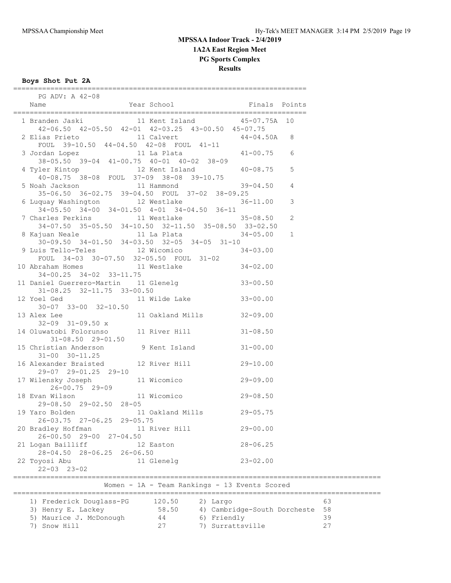**Boys Shot Put 2A**

| A R 2008<br>Year School Mear School Finals Points<br>Name                                                         |                |  |
|-------------------------------------------------------------------------------------------------------------------|----------------|--|
| 1 Branden Jaski 11 Kent Island 45-07.75A 10<br>42-06.50 42-05.50 42-01 42-03.25 43-00.50 45-07.75                 |                |  |
| 2 Elias Prieto 11 Calvert 44-04.50A 8<br>FOUL 39-10.50 44-04.50 42-08 FOUL 41-11                                  |                |  |
| 3 Jordan Lopez 11 La Plata 41-00.75 6<br>38-05.50 39-04 41-00.75 40-01 40-02 38-09                                |                |  |
| 4 Tyler Kintop 12 Kent Island 40-08.75 5<br>40-08.75 38-08 FOUL 37-09 38-08 39-10.75                              |                |  |
| 5 Noah Jackson 11 Hammond 39-04.50 4<br>35-06.50 36-02.75 39-04.50 FOUL 37-02 38-09.25                            |                |  |
| 6 Luquay Washington 12 Westlake<br>$34-05.50$ $34-00$ $34-01.50$ $4-01$ $34-04.50$ $36-11$                        | $36 - 11.00$ 3 |  |
| 7 Charles Perkins 11 Westlake 35-08.50 2<br>34-07.50 35-05.50 34-10.50 32-11.50 35-08.50 33-02.50                 |                |  |
| 8 Kajuan Neale 11 La Plata 11 A 34-05.00 1<br>$30-09.50$ $34-01.50$ $34-03.50$ $32-05$ $34-05$ $31-10$            |                |  |
| 9 Luis Tello-Teles 12 Wicomico 34-03.00<br>FOUL 34-03 30-07.50 32-05.50 FOUL 31-02                                |                |  |
| 10 Abraham Homes<br>$34-02.00$<br>$34-00.25$<br>$34-00.25$<br>$34-00.25$<br>$34-02.00$<br>34-00.25 34-02 33-11.75 |                |  |
| 11 Daniel Guerrero-Martin 11 Glenelg 33-00.50<br>31-08.25 32-11.75 33-00.50                                       |                |  |
| 31-08.25 32-11.75 33-00.50<br>12 Yoel Ged 11 Wilde Lake 33-00.00                                                  |                |  |
| 13 Alex Lee<br>$32-09$ $31-09.50$ x                                                                               |                |  |
| 14 Oluwatobi Folorunso 11 River Hill 31-08.50<br>$31 - 08.50$ 29-01.50                                            |                |  |
| 15 Christian Anderson 9 Kent Island<br>$31 - 00$ $30 - 11.25$                                                     | $31 - 00.00$   |  |
| 16 Alexander Braisted 12 River Hill<br>29-07 29-01.25 29-10                                                       | $29 - 10.00$   |  |
| 17 Wilensky Joseph 11 Wicomico<br>26-00.75 29-09                                                                  | $29 - 09.00$   |  |
| 11 Wicomico 29-08.50<br>18 Evan Wilson<br>29-08.50 29-02.50 28-05                                                 |                |  |
| 11 Oakland Mills 29-05.75<br>19 Yaro Bolden<br>26-03.75 27-06.25 29-05.75                                         |                |  |
| 20 Bradley Hoffman<br>11 River Hill<br>26-00.50 29-00 27-04.50                                                    | $29 - 00.00$   |  |
| 21 Logan Bailliff<br>12 Easton<br>28-04.50 28-06.25 26-06.50                                                      | $28 - 06.25$   |  |
| 22 Toyosi Abu<br>11 Glenelg<br>$22 - 03$ $23 - 02$                                                                | $23 - 02.00$   |  |

=======================================================================

========================================================================================= 1) Frederick Douglass-PG 120.50 2) Largo 63 3) Henry E. Lackey 58.50 4) Cambridge-South Dorcheste 58 5) Maurice J. McDonough 44 6) Friendly 39 7) Snow Hill 27 7) Surrattsville 27